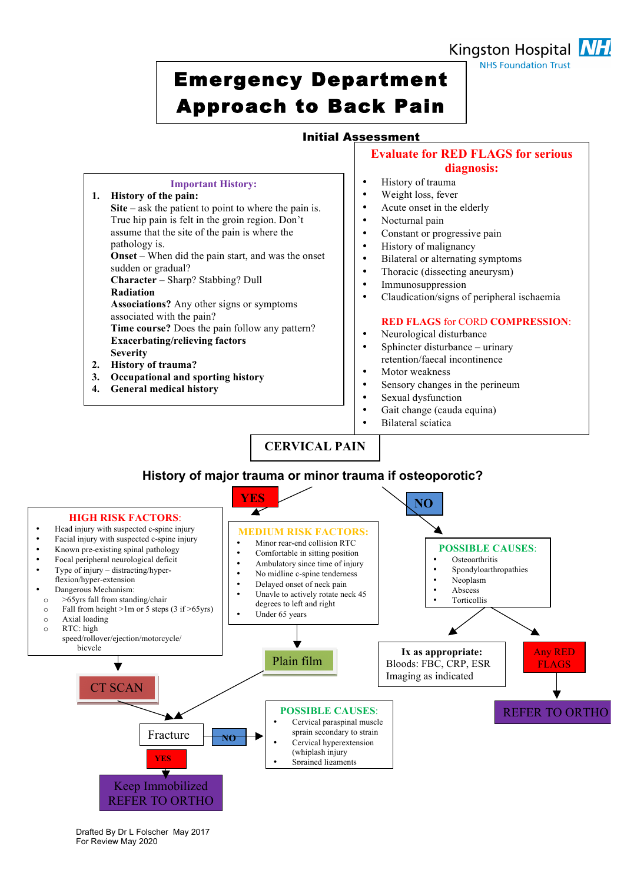# Emergency Department Approach to Back Pain

**Important History:**

Site – ask the patient to point to where the pain is. True hip pain is felt in the groin region. Don't assume that the site of the pain is where the

**Onset** – When did the pain start, and was the onset

**Character** – Sharp? Stabbing? Dull

**Exacerbating/relieving factors**

**3. Occupational and sporting history**

**Associations?** Any other signs or symptoms

**Time course?** Does the pain follow any pattern?

**1. History of the pain:**

pathology is.

**Radiation** 

**Severity 2. History of trauma?**

sudden or gradual?

associated with the pain?

**4. General medical history**

## Initial Assessment

### **Evaluate for RED FLAGS for serious diagnosis:**

- History of trauma
- Weight loss, fever
- Acute onset in the elderly
- Nocturnal pain
- Constant or progressive pain
- History of malignancy
- Bilateral or alternating symptoms
- Thoracic (dissecting aneurysm)<br>• Immunosuppression
- **Immunosuppression**
- Claudication/signs of peripheral ischaemia

### **RED FLAGS** for CORD **COMPRESSION**:

- Neurological disturbance
- Sphincter disturbance urinary retention/faecal incontinence
- Motor weakness
- Sensory changes in the perineum
	- Sexual dysfunction
	- Gait change (cauda equina)
	- Bilateral sciatica

**CERVICAL PAIN**



Drafted By Dr L Folscher May 2017 For Review May 2020

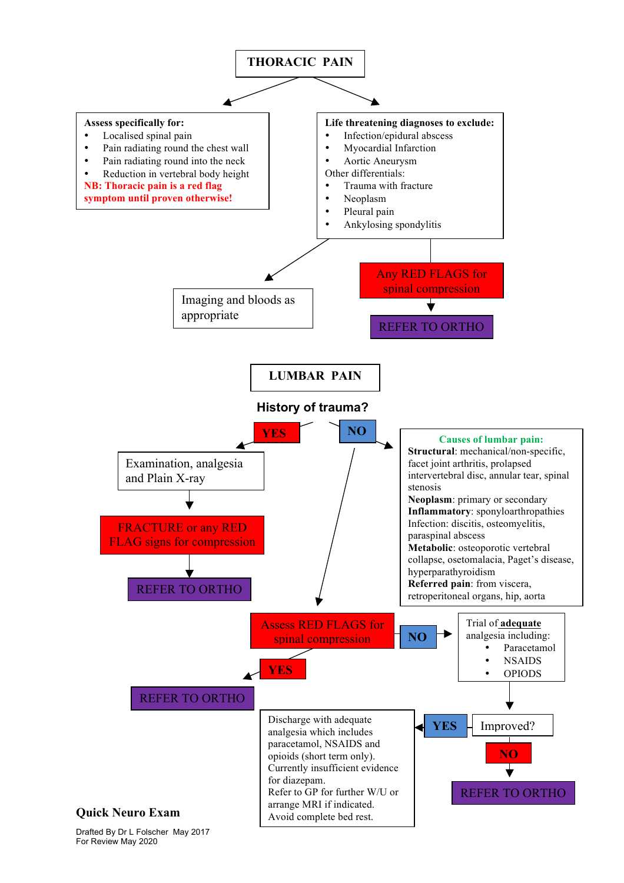

Drafted By Dr L Folscher May 2017 For Review May 2020